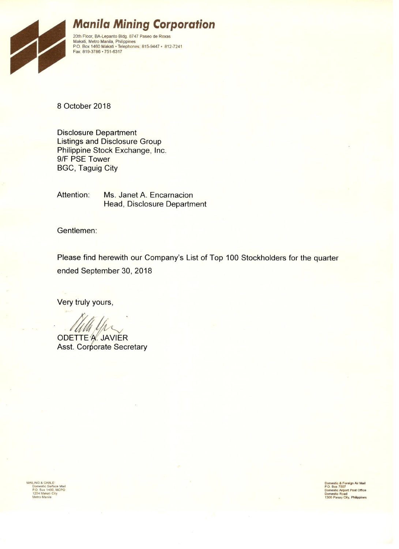

# **Manila Mining Corporation**

20th Floor, BA-Lepanto Bldg. 8747 Paseo de Roxas<br>Makati, Metro Manila, Philippines<br>P.O. Box 1460 Makati • Telephones: 815-9447 • 812-7241 Fax: 819-3786 · 751-6317

8 October 2018

**Disclosure Department Listings and Disclosure Group** Philippine Stock Exchange, Inc. 9/F PSE Tower **BGC, Taguig City** 

Attention: Ms. Janet A. Encarnacion Head, Disclosure Department

Gentlemen:

Please find herewith our Company's List of Top 100 Stockholders for the quarter ended September 30, 2018

Very truly yours,

**ODETTE A. JAVIER Asst. Corporate Secretary** 

MAILING & CABLE:<br>Domestic Surface Mail<br>P.O. Box 1460, MCPO<br>1254 Makati City<br>Metro Manila

Domestic & Foreign Air Mail<br>P.O. Box 7507<br>Domestic Airport Post Office<br>Domestic Road<br>1300 Pasay City, Philippines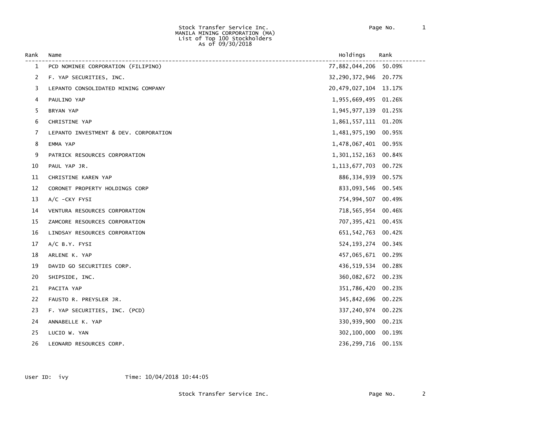#### Stock Transfer Service Inc. Page No. 1 MANILA MINING CORPORATION (MA) List of Top 100 Stockholders As of 09/30/2018

| Rank | Name                                  | Holdings                  | Rank   |
|------|---------------------------------------|---------------------------|--------|
| 1    | PCD NOMINEE CORPORATION (FILIPINO)    | 77,882,044,206 50.09%     |        |
| 2    | F. YAP SECURITIES, INC.               | 32,290,372,946 20.77%     |        |
| 3    | LEPANTO CONSOLIDATED MINING COMPANY   | 20, 479, 027, 104 13. 17% |        |
| 4    | PAULINO YAP                           | 1,955,669,495 01.26%      |        |
| 5    | BRYAN YAP                             | 1,945,977,139 01.25%      |        |
| 6    | CHRISTINE YAP                         | 1,861,557,111 01.20%      |        |
| 7    | LEPANTO INVESTMENT & DEV. CORPORATION | 1,481,975,190             | 00.95% |
| 8    | EMMA YAP                              | 1,478,067,401 00.95%      |        |
| 9    | PATRICK RESOURCES CORPORATION         | 1,301,152,163 00.84%      |        |
| 10   | PAUL YAP JR.                          | 1, 113, 677, 703 00. 72%  |        |
| 11   | CHRISTINE KAREN YAP                   | 886, 334, 939             | 00.57% |
| 12   | CORONET PROPERTY HOLDINGS CORP        | 833,093,546 00.54%        |        |
| 13   | A/C -CKY FYSI                         | 754,994,507 00.49%        |        |
| 14   | VENTURA RESOURCES CORPORATION         | 718, 565, 954 00.46%      |        |
| 15   | ZAMCORE RESOURCES CORPORATION         | 707,395,421 00.45%        |        |
| 16   | LINDSAY RESOURCES CORPORATION         | 651, 542, 763 00.42%      |        |
| 17   | $A/C$ B.Y. FYSI                       | 524, 193, 274 00.34%      |        |
| 18   | ARLENE K. YAP                         | 457,065,671 00.29%        |        |
| 19   | DAVID GO SECURITIES CORP.             | 436,519,534 00.28%        |        |
| 20   | SHIPSIDE, INC.                        | 360,082,672 00.23%        |        |
| 21   | PACITA YAP                            | 351,786,420 00.23%        |        |
| 22   | FAUSTO R. PREYSLER JR.                | 345,842,696 00.22%        |        |
| 23   | F. YAP SECURITIES, INC. (PCD)         | 337, 240, 974 00.22%      |        |
| 24   | ANNABELLE K. YAP                      | 330,939,900               | 00.21% |
| 25   | LUCIO W. YAN                          | 302,100,000               | 00.19% |
| 26   | LEONARD RESOURCES CORP.               | 236, 299, 716             | 00.15% |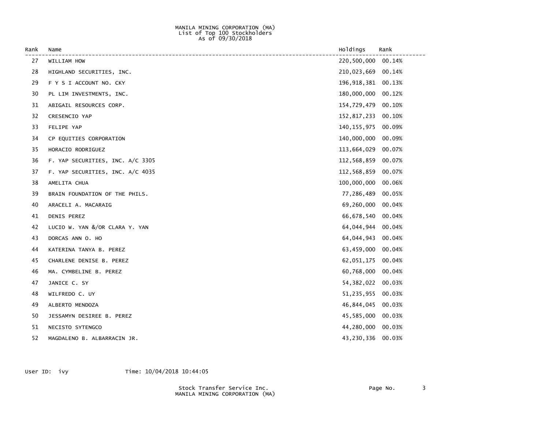#### MANILA MINING CORPORATION (MA) List of Top 100 Stockholders As of 09/30/2018

| Rank | Name                             | Holdings             | Rank   |
|------|----------------------------------|----------------------|--------|
| 27   | WILLIAM HOW                      | 220,500,000          | 00.14% |
| 28   | HIGHLAND SECURITIES, INC.        | 210,023,669          | 00.14% |
| 29   | F Y S I ACCOUNT NO. CKY          | 196, 918, 381 00.13% |        |
| 30   | PL LIM INVESTMENTS, INC.         | 180,000,000          | 00.12% |
| 31   | ABIGAIL RESOURCES CORP.          | 154,729,479          | 00.10% |
| 32   | CRESENCIO YAP                    | 152,817,233          | 00.10% |
| 33   | FELIPE YAP                       | 140, 155, 975        | 00.09% |
| 34   | CP EQUITIES CORPORATION          | 140,000,000          | 00.09% |
| 35   | HORACIO RODRIGUEZ                | 113,664,029          | 00.07% |
| 36   | F. YAP SECURITIES, INC. A/C 3305 | 112,568,859          | 00.07% |
| 37   | F. YAP SECURITIES, INC. A/C 4035 | 112,568,859          | 00.07% |
| 38   | AMELITA CHUA                     | 100,000,000          | 00.06% |
| 39   | BRAIN FOUNDATION OF THE PHILS.   | 77,286,489           | 00.05% |
| 40   | ARACELI A. MACARAIG              | 69,260,000           | 00.04% |
| 41   | DENIS PEREZ                      | 66,678,540 00.04%    |        |
| 42   | LUCIO W. YAN &/OR CLARA Y. YAN   | 64,044,944           | 00.04% |
| 43   | DORCAS ANN O. HO                 | 64,044,943           | 00.04% |
| 44   | KATERINA TANYA B. PEREZ          | 63,459,000           | 00.04% |
| 45   | CHARLENE DENISE B. PEREZ         | 62,051,175           | 00.04% |
| 46   | MA. CYMBELINE B. PEREZ           | 60,768,000           | 00.04% |
| 47   | JANICE C. SY                     | 54, 382, 022         | 00.03% |
| 48   | WILFREDO C. UY                   | 51,235,955           | 00.03% |
| 49   | ALBERTO MENDOZA                  | 46,844,045           | 00.03% |
| 50   | JESSAMYN DESIREE B. PEREZ        | 45,585,000           | 00.03% |
| 51   | NECISTO SYTENGCO                 | 44,280,000           | 00.03% |
| 52   | MAGDALENO B. ALBARRACIN JR.      | 43,230,336           | 00.03% |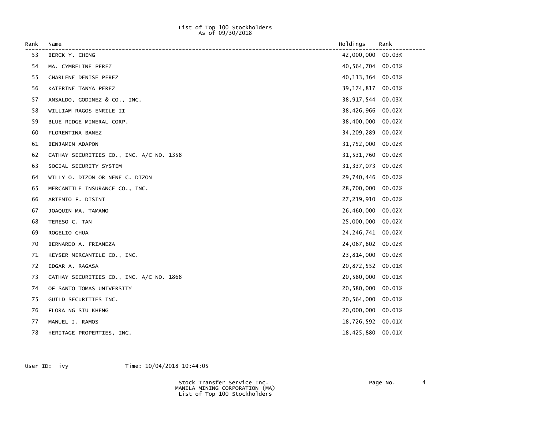### List of Top 100 Stockholders As of 09/30/2018

| Rank | Name                                     | Holdings          | Rank   |
|------|------------------------------------------|-------------------|--------|
| 53   | BERCK Y. CHENG                           | 42,000,000        | 00.03% |
| 54   | MA. CYMBELINE PEREZ                      | 40,564,704        | 00.03% |
| 55   | CHARLENE DENISE PEREZ                    | 40, 113, 364      | 00.03% |
| 56   | KATERINE TANYA PEREZ                     | 39, 174, 817      | 00.03% |
| 57   | ANSALDO, GODINEZ & CO., INC.             | 38,917,544        | 00.03% |
| 58   | WILLIAM RAGOS ENRILE II                  | 38,426,966        | 00.02% |
| 59   | BLUE RIDGE MINERAL CORP.                 | 38,400,000        | 00.02% |
| 60   | FLORENTINA BANEZ                         | 34,209,289        | 00.02% |
| 61   | BENJAMIN ADAPON                          | 31,752,000        | 00.02% |
| 62   | CATHAY SECURITIES CO., INC. A/C NO. 1358 | 31,531,760        | 00.02% |
| 63   | SOCIAL SECURITY SYSTEM                   | 31, 337, 073      | 00.02% |
| 64   | WILLY O. DIZON OR NENE C. DIZON          | 29,740,446        | 00.02% |
| 65   | MERCANTILE INSURANCE CO., INC.           | 28,700,000        | 00.02% |
| 66   | ARTEMIO F. DISINI                        | 27,219,910        | 00.02% |
| 67   | JOAQUIN MA. TAMANO                       | 26,460,000        | 00.02% |
| 68   | TERESO C. TAN                            | 25,000,000        | 00.02% |
| 69   | ROGELIO CHUA                             | 24, 246, 741      | 00.02% |
| 70   | BERNARDO A. FRIANEZA                     | 24,067,802        | 00.02% |
| 71   | KEYSER MERCANTILE CO., INC.              | 23,814,000        | 00.02% |
| 72   | EDGAR A. RAGASA                          | 20,872,552        | 00.01% |
| 73   | CATHAY SECURITIES CO., INC. A/C NO. 1868 | 20,580,000        | 00.01% |
| 74   | OF SANTO TOMAS UNIVERSITY                | 20,580,000        | 00.01% |
| 75   | GUILD SECURITIES INC.                    | 20,564,000        | 00.01% |
| 76   | FLORA NG SIU KHENG                       | 20,000,000        | 00.01% |
| 77   | MANUEL J. RAMOS                          | 18,726,592 00.01% |        |
| 78   | HERITAGE PROPERTIES, INC.                | 18,425,880        | 00.01% |

User ID: ivy Time:  $10/04/2018$  10:44:05

 Stock Transfer Service Inc. Page No. 4 MANILA MINING CORPORATION (MA) List of Top 100 Stockholders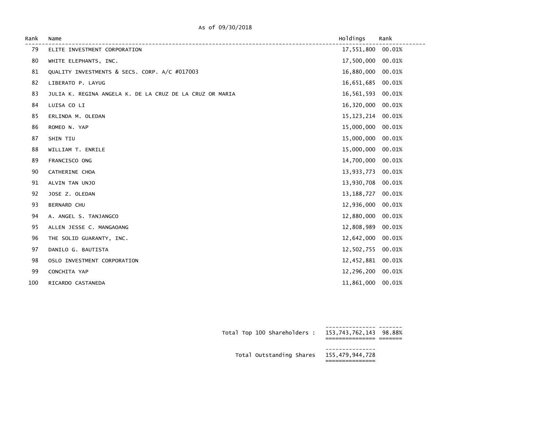### As of 09/30/2018

| Rank | Name                                                     | Holdings     | Rank   |
|------|----------------------------------------------------------|--------------|--------|
| 79   | ELITE INVESTMENT CORPORATION                             | 17,551,800   | 00.01% |
| 80   | WHITE ELEPHANTS, INC.                                    | 17,500,000   | 00.01% |
| 81   | QUALITY INVESTMENTS & SECS. CORP. A/C #017003            | 16,880,000   | 00.01% |
| 82   | LIBERATO P. LAYUG                                        | 16,651,685   | 00.01% |
| 83   | JULIA K. REGINA ANGELA K. DE LA CRUZ DE LA CRUZ OR MARIA | 16,561,593   | 00.01% |
| 84   | LUISA CO LI                                              | 16,320,000   | 00.01% |
| 85   | ERLINDA M. OLEDAN                                        | 15, 123, 214 | 00.01% |
| 86   | ROMEO N. YAP                                             | 15,000,000   | 00.01% |
| 87   | SHIN TIU                                                 | 15,000,000   | 00.01% |
| 88   | WILLIAM T. ENRILE                                        | 15,000,000   | 00.01% |
| 89   | FRANCISCO ONG                                            | 14,700,000   | 00.01% |
| 90   | CATHERINE CHOA                                           | 13,933,773   | 00.01% |
| 91   | ALVIN TAN UNJO                                           | 13,930,708   | 00.01% |
| 92   | JOSE Z. OLEDAN                                           | 13, 188, 727 | 00.01% |
| 93   | BERNARD CHU                                              | 12,936,000   | 00.01% |
| 94   | A. ANGEL S. TANJANGCO                                    | 12,880,000   | 00.01% |
| 95   | ALLEN JESSE C. MANGAOANG                                 | 12,808,989   | 00.01% |
| 96   | THE SOLID GUARANTY, INC.                                 | 12,642,000   | 00.01% |
| 97   | DANILO G. BAUTISTA                                       | 12,502,755   | 00.01% |
| 98   | OSLO INVESTMENT CORPORATION                              | 12,452,881   | 00.01% |
| 99   | CONCHITA YAP                                             | 12,296,200   | 00.01% |
| 100  | RICARDO CASTANEDA                                        | 11,861,000   | 00.01% |

| Total Top 100 Shareholders: 153,743,762,143 98.88% |  |
|----------------------------------------------------|--|
| Total Outstanding Shares 155,479,944,728           |  |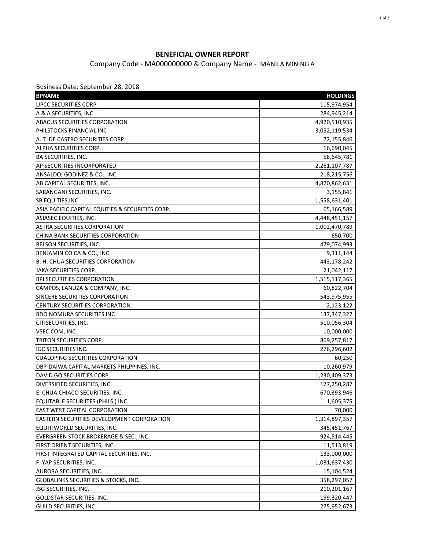## **BENEFICIAL OWNER REPORT**

Company Code - MA000000000 & Company Name - MANILA MINING A

Business Date: September 28, 2018

| UPCC SECURITIES CORP.<br>115,974,954<br>A & A SECURITIES, INC.<br>284,945,214<br><b>ABACUS SECURITIES CORPORATION</b><br>4,920,510,935<br>PHILSTOCKS FINANCIAL INC<br>3,052,119,534<br>A. T. DE CASTRO SECURITIES CORP.<br>72,155,846<br>ALPHA SECURITIES CORP.<br>16,690,045<br><b>BA SECURITIES, INC.</b><br>58,645,781<br>AP SECURITIES INCORPORATED<br>2,261,107,787<br>ANSALDO, GODINEZ & CO., INC.<br>218,215,756<br>AB CAPITAL SECURITIES, INC.<br>4,870,862,631<br>SARANGANI SECURITIES, INC.<br>3,155,841<br>SB EQUITIES, INC.<br>1,558,631,401<br>ASIA PACIFIC CAPITAL EQUITIES & SECURITIES CORP.<br>65,166,589<br>ASIASEC EQUITIES, INC.<br>4,448,451,157<br>ASTRA SECURITIES CORPORATION<br>1,002,470,789<br>CHINA BANK SECURITIES CORPORATION<br>650,700<br>BELSON SECURITIES, INC.<br>479,074,993<br>BENJAMIN CO CA & CO., INC.<br>9,311,144<br>B. H. CHUA SECURITIES CORPORATION<br>443,178,242<br>JAKA SECURITIES CORP.<br>21,042,117<br><b>BPI SECURITIES CORPORATION</b><br>1,515,117,365<br>CAMPOS, LANUZA & COMPANY, INC.<br>60,822,704<br>SINCERE SECURITIES CORPORATION<br>543,975,955<br><b>CENTURY SECURITIES CORPORATION</b><br>2,123,122<br><b>BDO NOMURA SECURITIES INC</b><br>137, 347, 327<br>CITISECURITIES, INC.<br>510,056,304<br>VSEC.COM, INC.<br>10,000,000<br>TRITON SECURITIES CORP.<br>869,257,817<br><b>IGC SECURITIES INC.</b><br>276,296,602<br><b>CUALOPING SECURITIES CORPORATION</b><br>60,250<br>DBP-DAIWA CAPITAL MARKETS PHILPPINES, INC.<br>10,260,979<br>DAVID GO SECURITIES CORP.<br>1,230,409,373<br>DIVERSIFIED SECURITIES, INC.<br>177,250,287<br>E. CHUA CHIACO SECURITIES, INC.<br>670,393,946<br>EQUITABLE SECURIITES (PHILS.) INC.<br>1,605,375<br>EAST WEST CAPITAL CORPORATION<br>70,000<br>EASTERN SECURITIES DEVELOPMENT CORPORATION<br>1,314,897,357<br>EQUITIWORLD SECURITIES, INC.<br>345,451,767<br>EVERGREEN STOCK BROKERAGE & SEC., INC.<br>924,514,445<br>FIRST ORIENT SECURITIES, INC.<br>11,513,819<br>FIRST INTEGRATED CAPITAL SECURITIES, INC.<br>133,000,000<br>F. YAP SECURITIES, INC.<br>1,031,637,430<br>AURORA SECURITIES, INC.<br>15,104,524<br><b>GLOBALINKS SECURITIES &amp; STOCKS, INC.</b><br>358,297,057<br>JSG SECURITIES, INC.<br>210,201,167<br><b>GOLDSTAR SECURITIES, INC.</b><br>199,320,447 | <b>BPNAME</b>          | <b>HOLDINGS</b> |
|-----------------------------------------------------------------------------------------------------------------------------------------------------------------------------------------------------------------------------------------------------------------------------------------------------------------------------------------------------------------------------------------------------------------------------------------------------------------------------------------------------------------------------------------------------------------------------------------------------------------------------------------------------------------------------------------------------------------------------------------------------------------------------------------------------------------------------------------------------------------------------------------------------------------------------------------------------------------------------------------------------------------------------------------------------------------------------------------------------------------------------------------------------------------------------------------------------------------------------------------------------------------------------------------------------------------------------------------------------------------------------------------------------------------------------------------------------------------------------------------------------------------------------------------------------------------------------------------------------------------------------------------------------------------------------------------------------------------------------------------------------------------------------------------------------------------------------------------------------------------------------------------------------------------------------------------------------------------------------------------------------------------------------------------------------------------------------------------------------------------------------------------------------------------------------------------------------------------------------------------------------------------------------------------|------------------------|-----------------|
|                                                                                                                                                                                                                                                                                                                                                                                                                                                                                                                                                                                                                                                                                                                                                                                                                                                                                                                                                                                                                                                                                                                                                                                                                                                                                                                                                                                                                                                                                                                                                                                                                                                                                                                                                                                                                                                                                                                                                                                                                                                                                                                                                                                                                                                                                         |                        |                 |
|                                                                                                                                                                                                                                                                                                                                                                                                                                                                                                                                                                                                                                                                                                                                                                                                                                                                                                                                                                                                                                                                                                                                                                                                                                                                                                                                                                                                                                                                                                                                                                                                                                                                                                                                                                                                                                                                                                                                                                                                                                                                                                                                                                                                                                                                                         |                        |                 |
|                                                                                                                                                                                                                                                                                                                                                                                                                                                                                                                                                                                                                                                                                                                                                                                                                                                                                                                                                                                                                                                                                                                                                                                                                                                                                                                                                                                                                                                                                                                                                                                                                                                                                                                                                                                                                                                                                                                                                                                                                                                                                                                                                                                                                                                                                         |                        |                 |
|                                                                                                                                                                                                                                                                                                                                                                                                                                                                                                                                                                                                                                                                                                                                                                                                                                                                                                                                                                                                                                                                                                                                                                                                                                                                                                                                                                                                                                                                                                                                                                                                                                                                                                                                                                                                                                                                                                                                                                                                                                                                                                                                                                                                                                                                                         |                        |                 |
|                                                                                                                                                                                                                                                                                                                                                                                                                                                                                                                                                                                                                                                                                                                                                                                                                                                                                                                                                                                                                                                                                                                                                                                                                                                                                                                                                                                                                                                                                                                                                                                                                                                                                                                                                                                                                                                                                                                                                                                                                                                                                                                                                                                                                                                                                         |                        |                 |
|                                                                                                                                                                                                                                                                                                                                                                                                                                                                                                                                                                                                                                                                                                                                                                                                                                                                                                                                                                                                                                                                                                                                                                                                                                                                                                                                                                                                                                                                                                                                                                                                                                                                                                                                                                                                                                                                                                                                                                                                                                                                                                                                                                                                                                                                                         |                        |                 |
|                                                                                                                                                                                                                                                                                                                                                                                                                                                                                                                                                                                                                                                                                                                                                                                                                                                                                                                                                                                                                                                                                                                                                                                                                                                                                                                                                                                                                                                                                                                                                                                                                                                                                                                                                                                                                                                                                                                                                                                                                                                                                                                                                                                                                                                                                         |                        |                 |
|                                                                                                                                                                                                                                                                                                                                                                                                                                                                                                                                                                                                                                                                                                                                                                                                                                                                                                                                                                                                                                                                                                                                                                                                                                                                                                                                                                                                                                                                                                                                                                                                                                                                                                                                                                                                                                                                                                                                                                                                                                                                                                                                                                                                                                                                                         |                        |                 |
|                                                                                                                                                                                                                                                                                                                                                                                                                                                                                                                                                                                                                                                                                                                                                                                                                                                                                                                                                                                                                                                                                                                                                                                                                                                                                                                                                                                                                                                                                                                                                                                                                                                                                                                                                                                                                                                                                                                                                                                                                                                                                                                                                                                                                                                                                         |                        |                 |
|                                                                                                                                                                                                                                                                                                                                                                                                                                                                                                                                                                                                                                                                                                                                                                                                                                                                                                                                                                                                                                                                                                                                                                                                                                                                                                                                                                                                                                                                                                                                                                                                                                                                                                                                                                                                                                                                                                                                                                                                                                                                                                                                                                                                                                                                                         |                        |                 |
|                                                                                                                                                                                                                                                                                                                                                                                                                                                                                                                                                                                                                                                                                                                                                                                                                                                                                                                                                                                                                                                                                                                                                                                                                                                                                                                                                                                                                                                                                                                                                                                                                                                                                                                                                                                                                                                                                                                                                                                                                                                                                                                                                                                                                                                                                         |                        |                 |
|                                                                                                                                                                                                                                                                                                                                                                                                                                                                                                                                                                                                                                                                                                                                                                                                                                                                                                                                                                                                                                                                                                                                                                                                                                                                                                                                                                                                                                                                                                                                                                                                                                                                                                                                                                                                                                                                                                                                                                                                                                                                                                                                                                                                                                                                                         |                        |                 |
|                                                                                                                                                                                                                                                                                                                                                                                                                                                                                                                                                                                                                                                                                                                                                                                                                                                                                                                                                                                                                                                                                                                                                                                                                                                                                                                                                                                                                                                                                                                                                                                                                                                                                                                                                                                                                                                                                                                                                                                                                                                                                                                                                                                                                                                                                         |                        |                 |
|                                                                                                                                                                                                                                                                                                                                                                                                                                                                                                                                                                                                                                                                                                                                                                                                                                                                                                                                                                                                                                                                                                                                                                                                                                                                                                                                                                                                                                                                                                                                                                                                                                                                                                                                                                                                                                                                                                                                                                                                                                                                                                                                                                                                                                                                                         |                        |                 |
|                                                                                                                                                                                                                                                                                                                                                                                                                                                                                                                                                                                                                                                                                                                                                                                                                                                                                                                                                                                                                                                                                                                                                                                                                                                                                                                                                                                                                                                                                                                                                                                                                                                                                                                                                                                                                                                                                                                                                                                                                                                                                                                                                                                                                                                                                         |                        |                 |
|                                                                                                                                                                                                                                                                                                                                                                                                                                                                                                                                                                                                                                                                                                                                                                                                                                                                                                                                                                                                                                                                                                                                                                                                                                                                                                                                                                                                                                                                                                                                                                                                                                                                                                                                                                                                                                                                                                                                                                                                                                                                                                                                                                                                                                                                                         |                        |                 |
|                                                                                                                                                                                                                                                                                                                                                                                                                                                                                                                                                                                                                                                                                                                                                                                                                                                                                                                                                                                                                                                                                                                                                                                                                                                                                                                                                                                                                                                                                                                                                                                                                                                                                                                                                                                                                                                                                                                                                                                                                                                                                                                                                                                                                                                                                         |                        |                 |
|                                                                                                                                                                                                                                                                                                                                                                                                                                                                                                                                                                                                                                                                                                                                                                                                                                                                                                                                                                                                                                                                                                                                                                                                                                                                                                                                                                                                                                                                                                                                                                                                                                                                                                                                                                                                                                                                                                                                                                                                                                                                                                                                                                                                                                                                                         |                        |                 |
|                                                                                                                                                                                                                                                                                                                                                                                                                                                                                                                                                                                                                                                                                                                                                                                                                                                                                                                                                                                                                                                                                                                                                                                                                                                                                                                                                                                                                                                                                                                                                                                                                                                                                                                                                                                                                                                                                                                                                                                                                                                                                                                                                                                                                                                                                         |                        |                 |
|                                                                                                                                                                                                                                                                                                                                                                                                                                                                                                                                                                                                                                                                                                                                                                                                                                                                                                                                                                                                                                                                                                                                                                                                                                                                                                                                                                                                                                                                                                                                                                                                                                                                                                                                                                                                                                                                                                                                                                                                                                                                                                                                                                                                                                                                                         |                        |                 |
|                                                                                                                                                                                                                                                                                                                                                                                                                                                                                                                                                                                                                                                                                                                                                                                                                                                                                                                                                                                                                                                                                                                                                                                                                                                                                                                                                                                                                                                                                                                                                                                                                                                                                                                                                                                                                                                                                                                                                                                                                                                                                                                                                                                                                                                                                         |                        |                 |
|                                                                                                                                                                                                                                                                                                                                                                                                                                                                                                                                                                                                                                                                                                                                                                                                                                                                                                                                                                                                                                                                                                                                                                                                                                                                                                                                                                                                                                                                                                                                                                                                                                                                                                                                                                                                                                                                                                                                                                                                                                                                                                                                                                                                                                                                                         |                        |                 |
|                                                                                                                                                                                                                                                                                                                                                                                                                                                                                                                                                                                                                                                                                                                                                                                                                                                                                                                                                                                                                                                                                                                                                                                                                                                                                                                                                                                                                                                                                                                                                                                                                                                                                                                                                                                                                                                                                                                                                                                                                                                                                                                                                                                                                                                                                         |                        |                 |
|                                                                                                                                                                                                                                                                                                                                                                                                                                                                                                                                                                                                                                                                                                                                                                                                                                                                                                                                                                                                                                                                                                                                                                                                                                                                                                                                                                                                                                                                                                                                                                                                                                                                                                                                                                                                                                                                                                                                                                                                                                                                                                                                                                                                                                                                                         |                        |                 |
|                                                                                                                                                                                                                                                                                                                                                                                                                                                                                                                                                                                                                                                                                                                                                                                                                                                                                                                                                                                                                                                                                                                                                                                                                                                                                                                                                                                                                                                                                                                                                                                                                                                                                                                                                                                                                                                                                                                                                                                                                                                                                                                                                                                                                                                                                         |                        |                 |
|                                                                                                                                                                                                                                                                                                                                                                                                                                                                                                                                                                                                                                                                                                                                                                                                                                                                                                                                                                                                                                                                                                                                                                                                                                                                                                                                                                                                                                                                                                                                                                                                                                                                                                                                                                                                                                                                                                                                                                                                                                                                                                                                                                                                                                                                                         |                        |                 |
|                                                                                                                                                                                                                                                                                                                                                                                                                                                                                                                                                                                                                                                                                                                                                                                                                                                                                                                                                                                                                                                                                                                                                                                                                                                                                                                                                                                                                                                                                                                                                                                                                                                                                                                                                                                                                                                                                                                                                                                                                                                                                                                                                                                                                                                                                         |                        |                 |
|                                                                                                                                                                                                                                                                                                                                                                                                                                                                                                                                                                                                                                                                                                                                                                                                                                                                                                                                                                                                                                                                                                                                                                                                                                                                                                                                                                                                                                                                                                                                                                                                                                                                                                                                                                                                                                                                                                                                                                                                                                                                                                                                                                                                                                                                                         |                        |                 |
|                                                                                                                                                                                                                                                                                                                                                                                                                                                                                                                                                                                                                                                                                                                                                                                                                                                                                                                                                                                                                                                                                                                                                                                                                                                                                                                                                                                                                                                                                                                                                                                                                                                                                                                                                                                                                                                                                                                                                                                                                                                                                                                                                                                                                                                                                         |                        |                 |
|                                                                                                                                                                                                                                                                                                                                                                                                                                                                                                                                                                                                                                                                                                                                                                                                                                                                                                                                                                                                                                                                                                                                                                                                                                                                                                                                                                                                                                                                                                                                                                                                                                                                                                                                                                                                                                                                                                                                                                                                                                                                                                                                                                                                                                                                                         |                        |                 |
|                                                                                                                                                                                                                                                                                                                                                                                                                                                                                                                                                                                                                                                                                                                                                                                                                                                                                                                                                                                                                                                                                                                                                                                                                                                                                                                                                                                                                                                                                                                                                                                                                                                                                                                                                                                                                                                                                                                                                                                                                                                                                                                                                                                                                                                                                         |                        |                 |
|                                                                                                                                                                                                                                                                                                                                                                                                                                                                                                                                                                                                                                                                                                                                                                                                                                                                                                                                                                                                                                                                                                                                                                                                                                                                                                                                                                                                                                                                                                                                                                                                                                                                                                                                                                                                                                                                                                                                                                                                                                                                                                                                                                                                                                                                                         |                        |                 |
|                                                                                                                                                                                                                                                                                                                                                                                                                                                                                                                                                                                                                                                                                                                                                                                                                                                                                                                                                                                                                                                                                                                                                                                                                                                                                                                                                                                                                                                                                                                                                                                                                                                                                                                                                                                                                                                                                                                                                                                                                                                                                                                                                                                                                                                                                         |                        |                 |
|                                                                                                                                                                                                                                                                                                                                                                                                                                                                                                                                                                                                                                                                                                                                                                                                                                                                                                                                                                                                                                                                                                                                                                                                                                                                                                                                                                                                                                                                                                                                                                                                                                                                                                                                                                                                                                                                                                                                                                                                                                                                                                                                                                                                                                                                                         |                        |                 |
|                                                                                                                                                                                                                                                                                                                                                                                                                                                                                                                                                                                                                                                                                                                                                                                                                                                                                                                                                                                                                                                                                                                                                                                                                                                                                                                                                                                                                                                                                                                                                                                                                                                                                                                                                                                                                                                                                                                                                                                                                                                                                                                                                                                                                                                                                         |                        |                 |
|                                                                                                                                                                                                                                                                                                                                                                                                                                                                                                                                                                                                                                                                                                                                                                                                                                                                                                                                                                                                                                                                                                                                                                                                                                                                                                                                                                                                                                                                                                                                                                                                                                                                                                                                                                                                                                                                                                                                                                                                                                                                                                                                                                                                                                                                                         |                        |                 |
|                                                                                                                                                                                                                                                                                                                                                                                                                                                                                                                                                                                                                                                                                                                                                                                                                                                                                                                                                                                                                                                                                                                                                                                                                                                                                                                                                                                                                                                                                                                                                                                                                                                                                                                                                                                                                                                                                                                                                                                                                                                                                                                                                                                                                                                                                         |                        |                 |
|                                                                                                                                                                                                                                                                                                                                                                                                                                                                                                                                                                                                                                                                                                                                                                                                                                                                                                                                                                                                                                                                                                                                                                                                                                                                                                                                                                                                                                                                                                                                                                                                                                                                                                                                                                                                                                                                                                                                                                                                                                                                                                                                                                                                                                                                                         |                        |                 |
|                                                                                                                                                                                                                                                                                                                                                                                                                                                                                                                                                                                                                                                                                                                                                                                                                                                                                                                                                                                                                                                                                                                                                                                                                                                                                                                                                                                                                                                                                                                                                                                                                                                                                                                                                                                                                                                                                                                                                                                                                                                                                                                                                                                                                                                                                         |                        |                 |
|                                                                                                                                                                                                                                                                                                                                                                                                                                                                                                                                                                                                                                                                                                                                                                                                                                                                                                                                                                                                                                                                                                                                                                                                                                                                                                                                                                                                                                                                                                                                                                                                                                                                                                                                                                                                                                                                                                                                                                                                                                                                                                                                                                                                                                                                                         |                        |                 |
|                                                                                                                                                                                                                                                                                                                                                                                                                                                                                                                                                                                                                                                                                                                                                                                                                                                                                                                                                                                                                                                                                                                                                                                                                                                                                                                                                                                                                                                                                                                                                                                                                                                                                                                                                                                                                                                                                                                                                                                                                                                                                                                                                                                                                                                                                         |                        |                 |
|                                                                                                                                                                                                                                                                                                                                                                                                                                                                                                                                                                                                                                                                                                                                                                                                                                                                                                                                                                                                                                                                                                                                                                                                                                                                                                                                                                                                                                                                                                                                                                                                                                                                                                                                                                                                                                                                                                                                                                                                                                                                                                                                                                                                                                                                                         |                        |                 |
|                                                                                                                                                                                                                                                                                                                                                                                                                                                                                                                                                                                                                                                                                                                                                                                                                                                                                                                                                                                                                                                                                                                                                                                                                                                                                                                                                                                                                                                                                                                                                                                                                                                                                                                                                                                                                                                                                                                                                                                                                                                                                                                                                                                                                                                                                         |                        |                 |
|                                                                                                                                                                                                                                                                                                                                                                                                                                                                                                                                                                                                                                                                                                                                                                                                                                                                                                                                                                                                                                                                                                                                                                                                                                                                                                                                                                                                                                                                                                                                                                                                                                                                                                                                                                                                                                                                                                                                                                                                                                                                                                                                                                                                                                                                                         |                        |                 |
|                                                                                                                                                                                                                                                                                                                                                                                                                                                                                                                                                                                                                                                                                                                                                                                                                                                                                                                                                                                                                                                                                                                                                                                                                                                                                                                                                                                                                                                                                                                                                                                                                                                                                                                                                                                                                                                                                                                                                                                                                                                                                                                                                                                                                                                                                         |                        |                 |
|                                                                                                                                                                                                                                                                                                                                                                                                                                                                                                                                                                                                                                                                                                                                                                                                                                                                                                                                                                                                                                                                                                                                                                                                                                                                                                                                                                                                                                                                                                                                                                                                                                                                                                                                                                                                                                                                                                                                                                                                                                                                                                                                                                                                                                                                                         |                        |                 |
|                                                                                                                                                                                                                                                                                                                                                                                                                                                                                                                                                                                                                                                                                                                                                                                                                                                                                                                                                                                                                                                                                                                                                                                                                                                                                                                                                                                                                                                                                                                                                                                                                                                                                                                                                                                                                                                                                                                                                                                                                                                                                                                                                                                                                                                                                         | GUILD SECURITIES, INC. | 275,952,673     |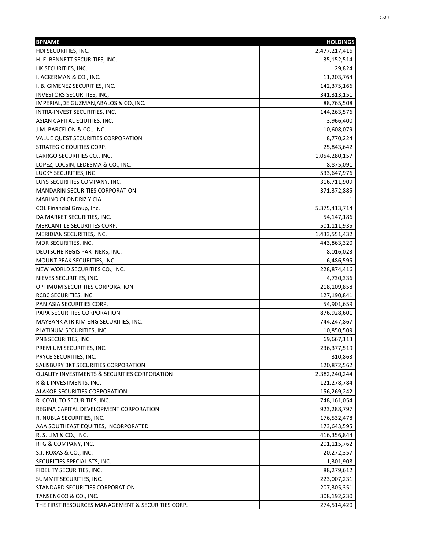| <b>BPNAME</b>                                           | <b>HOLDINGS</b> |
|---------------------------------------------------------|-----------------|
| HDI SECURITIES, INC.                                    | 2,477,217,416   |
| H. E. BENNETT SECURITIES, INC.                          | 35,152,514      |
| HK SECURITIES, INC.                                     | 29,824          |
| I. ACKERMAN & CO., INC.                                 | 11,203,764      |
| I. B. GIMENEZ SECURITIES, INC.                          | 142,375,166     |
| <b>INVESTORS SECURITIES, INC,</b>                       | 341, 313, 151   |
| IMPERIAL, DE GUZMAN, ABALOS & CO., INC.                 | 88,765,508      |
| INTRA-INVEST SECURITIES, INC.                           | 144,263,576     |
| ASIAN CAPITAL EQUITIES, INC.                            | 3,966,400       |
| J.M. BARCELON & CO., INC.                               | 10,608,079      |
| VALUE QUEST SECURITIES CORPORATION                      | 8,770,224       |
| <b>STRATEGIC EQUITIES CORP.</b>                         | 25,843,642      |
| LARRGO SECURITIES CO., INC.                             | 1,054,280,157   |
| LOPEZ, LOCSIN, LEDESMA & CO., INC.                      | 8,875,091       |
| LUCKY SECURITIES, INC.                                  | 533,647,976     |
| LUYS SECURITIES COMPANY, INC.                           | 316,711,909     |
| <b>MANDARIN SECURITIES CORPORATION</b>                  | 371,372,885     |
| MARINO OLONDRIZ Y CIA                                   | 1               |
| COL Financial Group, Inc.                               | 5,375,413,714   |
| DA MARKET SECURITIES, INC.                              | 54,147,186      |
| MERCANTILE SECURITIES CORP.                             | 501,111,935     |
| MERIDIAN SECURITIES, INC.                               | 1,433,551,432   |
| MDR SECURITIES, INC.                                    | 443,863,320     |
| DEUTSCHE REGIS PARTNERS, INC.                           | 8,016,023       |
| MOUNT PEAK SECURITIES, INC.                             | 6,486,595       |
| NEW WORLD SECURITIES CO., INC.                          | 228,874,416     |
| NIEVES SECURITIES, INC.                                 | 4,730,336       |
| OPTIMUM SECURITIES CORPORATION                          | 218,109,858     |
| RCBC SECURITIES, INC.                                   | 127,190,841     |
| PAN ASIA SECURITIES CORP.                               | 54,901,659      |
| PAPA SECURITIES CORPORATION                             | 876,928,601     |
| MAYBANK ATR KIM ENG SECURITIES, INC.                    | 744,247,867     |
| PLATINUM SECURITIES, INC.                               | 10,850,509      |
| PNB SECURITIES, INC.                                    | 69,667,113      |
| PREMIUM SECURITIES, INC.                                | 236,377,519     |
| PRYCE SECURITIES, INC.                                  | 310,863         |
| SALISBURY BKT SECURITIES CORPORATION                    | 120,872,562     |
| <b>QUALITY INVESTMENTS &amp; SECURITIES CORPORATION</b> | 2,382,240,244   |
| R & L INVESTMENTS, INC.                                 | 121,278,784     |
| <b>ALAKOR SECURITIES CORPORATION</b>                    | 156,269,242     |
| R. COYIUTO SECURITIES, INC.                             | 748,161,054     |
| REGINA CAPITAL DEVELOPMENT CORPORATION                  | 923,288,797     |
| R. NUBLA SECURITIES, INC.                               | 176,532,478     |
| AAA SOUTHEAST EQUITIES, INCORPORATED                    | 173,643,595     |
| R. S. LIM & CO., INC.                                   | 416,356,844     |
| RTG & COMPANY, INC.                                     | 201,115,762     |
| S.J. ROXAS & CO., INC.                                  | 20,272,357      |
|                                                         |                 |
| SECURITIES SPECIALISTS, INC.                            | 1,301,908       |
| FIDELITY SECURITIES, INC.                               | 88,279,612      |
| SUMMIT SECURITIES, INC.                                 | 223,007,231     |
| STANDARD SECURITIES CORPORATION                         | 207,305,351     |
| TANSENGCO & CO., INC.                                   | 308,192,230     |
| THE FIRST RESOURCES MANAGEMENT & SECURITIES CORP.       | 274,514,420     |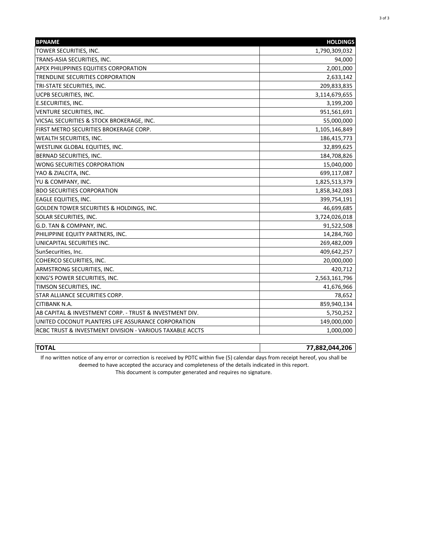| <b>BPNAME</b>                                            | <b>HOLDINGS</b> |
|----------------------------------------------------------|-----------------|
| TOWER SECURITIES, INC.                                   | 1,790,309,032   |
| TRANS-ASIA SECURITIES, INC.                              | 94,000          |
| APEX PHILIPPINES EQUITIES CORPORATION                    | 2,001,000       |
| TRENDLINE SECURITIES CORPORATION                         | 2,633,142       |
| TRI-STATE SECURITIES, INC.                               | 209,833,835     |
| <b>UCPB SECURITIES, INC.</b>                             | 3,114,679,655   |
| <b>E.SECURITIES, INC.</b>                                | 3,199,200       |
| <b>VENTURE SECURITIES, INC.</b>                          | 951,561,691     |
| VICSAL SECURITIES & STOCK BROKERAGE, INC.                | 55,000,000      |
| FIRST METRO SECURITIES BROKERAGE CORP.                   | 1,105,146,849   |
| <b>WEALTH SECURITIES, INC.</b>                           | 186,415,773     |
| WESTLINK GLOBAL EQUITIES, INC.                           | 32,899,625      |
| BERNAD SECURITIES, INC.                                  | 184,708,826     |
| <b>WONG SECURITIES CORPORATION</b>                       | 15,040,000      |
| YAO & ZIALCITA, INC.                                     | 699,117,087     |
| YU & COMPANY, INC.                                       | 1,825,513,379   |
| <b>BDO SECURITIES CORPORATION</b>                        | 1,858,342,083   |
| <b>EAGLE EQUITIES, INC.</b>                              | 399,754,191     |
| GOLDEN TOWER SECURITIES & HOLDINGS, INC.                 | 46,699,685      |
| SOLAR SECURITIES, INC.                                   | 3,724,026,018   |
| G.D. TAN & COMPANY, INC.                                 | 91,522,508      |
| PHILIPPINE EQUITY PARTNERS, INC.                         | 14,284,760      |
| UNICAPITAL SECURITIES INC.                               | 269,482,009     |
| SunSecurities, Inc.                                      | 409,642,257     |
| COHERCO SECURITIES, INC.                                 | 20,000,000      |
| ARMSTRONG SECURITIES, INC.                               | 420,712         |
| KING'S POWER SECURITIES, INC.                            | 2,563,161,796   |
| TIMSON SECURITIES, INC.                                  | 41,676,966      |
| STAR ALLIANCE SECURITIES CORP.                           | 78,652          |
| <b>CITIBANK N.A.</b>                                     | 859,940,134     |
| AB CAPITAL & INVESTMENT CORP. - TRUST & INVESTMENT DIV.  | 5,750,252       |
| UNITED COCONUT PLANTERS LIFE ASSURANCE CORPORATION       | 149,000,000     |
| RCBC TRUST & INVESTMENT DIVISION - VARIOUS TAXABLE ACCTS | 1,000,000       |

**TOTAL 77,882,044,206** If no written notice of any error or correction is received by PDTC within five (5) calendar days from receipt hereof, you shall be

deemed to have accepted the accuracy and completeness of the details indicated in this report.

This document is computer generated and requires no signature.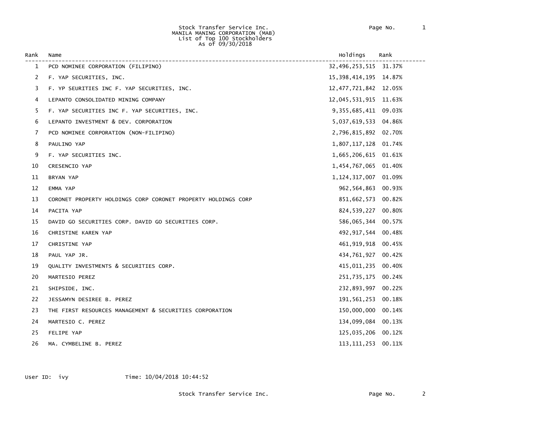#### Stock Transfer Service Inc. Page No. 1 MANILA MANING CORPORATION (MAB) List of Top 100 Stockholders As of 09/30/2018

| Rank | Name                                                          | Holdings                 | Rank |
|------|---------------------------------------------------------------|--------------------------|------|
| 1    | PCD NOMINEE CORPORATION (FILIPINO)                            | 32,496,253,515 31.37%    |      |
| 2    | F. YAP SECURITIES, INC.                                       | 15, 398, 414, 195 14.87% |      |
| 3    | F. YP SEURITIES INC F. YAP SECURITIES, INC.                   | 12, 477, 721, 842 12.05% |      |
| 4    | LEPANTO CONSOLIDATED MINING COMPANY                           | 12,045,531,915 11.63%    |      |
| 5    | F. YAP SECURITIES INC F. YAP SECURITIES, INC.                 | 9, 355, 685, 411 09.03%  |      |
| 6    | LEPANTO INVESTMENT & DEV. CORPORATION                         | 5,037,619,533 04.86%     |      |
| 7    | PCD NOMINEE CORPORATION (NON-FILIPINO)                        | 2,796,815,892 02.70%     |      |
| 8    | PAULINO YAP                                                   | 1,807,117,128 01.74%     |      |
| 9    | F. YAP SECURITIES INC.                                        | 1,665,206,615 01.61%     |      |
| 10   | CRESENCIO YAP                                                 | 1,454,767,065 01.40%     |      |
| 11   | BRYAN YAP                                                     | 1, 124, 317, 007 01.09%  |      |
| 12   | EMMA YAP                                                      | 962,564,863 00.93%       |      |
| 13   | CORONET PROPERTY HOLDINGS CORP CORONET PROPERTY HOLDINGS CORP | 851,662,573 00.82%       |      |
| 14   | PACITA YAP                                                    | 824,539,227 00.80%       |      |
| 15   | DAVID GO SECURITIES CORP. DAVID GO SECURITIES CORP.           | 586,065,344 00.57%       |      |
| 16   | CHRISTINE KAREN YAP                                           | 492, 917, 544 00.48%     |      |
| 17   | CHRISTINE YAP                                                 | 461, 919, 918 00.45%     |      |
| 18   | PAUL YAP JR.                                                  | 434,761,927 00.42%       |      |
| 19   | QUALITY INVESTMENTS & SECURITIES CORP.                        | 415,011,235 00.40%       |      |
| 20   | MARTESIO PEREZ                                                | 251,735,175 00.24%       |      |
| 21   | SHIPSIDE, INC.                                                | 232,893,997 00.22%       |      |
| 22   | JESSAMYN DESIREE B. PEREZ                                     | 191,561,253 00.18%       |      |
| 23   | THE FIRST RESOURCES MANAGEMENT & SECURITIES CORPORATION       | 150,000,000 00.14%       |      |
| 24   | MARTESIO C. PEREZ                                             | 134,099,084 00.13%       |      |
| 25   | FELIPE YAP                                                    | 125,035,206 00.12%       |      |
| 26   | MA. CYMBELINE B. PEREZ                                        | 113, 111, 253 00. 11%    |      |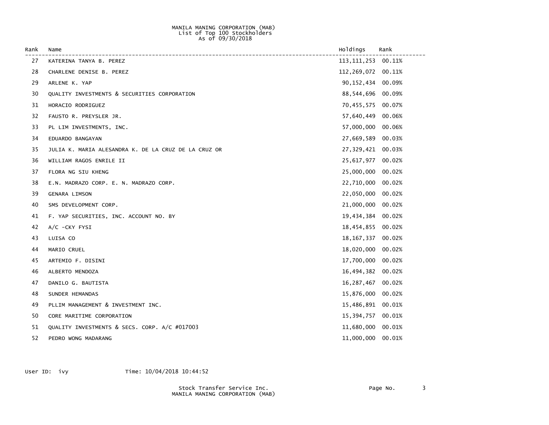### MANILA MANING CORPORATION (MAB) List of Top 100 Stockholders As of 09/30/2018

| Rank | Name                                                 | Holdings            | Rank   |
|------|------------------------------------------------------|---------------------|--------|
| 27   | KATERINA TANYA B. PEREZ                              | 113, 111, 253       | 00.11% |
| 28   | CHARLENE DENISE B. PEREZ                             | 112,269,072         | 00.11% |
| 29   | ARLENE K. YAP                                        | 90, 152, 434 00.09% |        |
| 30   | QUALITY INVESTMENTS & SECURITIES CORPORATION         | 88,544,696          | 00.09% |
| 31   | HORACIO RODRIGUEZ                                    | 70,455,575          | 00.07% |
| 32   | FAUSTO R. PREYSLER JR.                               | 57,640,449          | 00.06% |
| 33   | PL LIM INVESTMENTS, INC.                             | 57,000,000          | 00.06% |
| 34   | EDUARDO BANGAYAN                                     | 27,669,589          | 00.03% |
| 35   | JULIA K. MARIA ALESANDRA K. DE LA CRUZ DE LA CRUZ OR | 27,329,421 00.03%   |        |
| 36   | WILLIAM RAGOS ENRILE II                              | 25,617,977          | 00.02% |
| 37   | FLORA NG SIU KHENG                                   | 25,000,000          | 00.02% |
| 38   | E.N. MADRAZO CORP. E. N. MADRAZO CORP.               | 22,710,000          | 00.02% |
| 39   | <b>GENARA LIMSON</b>                                 | 22,050,000          | 00.02% |
| 40   | SMS DEVELOPMENT CORP.                                | 21,000,000          | 00.02% |
| 41   | F. YAP SECURITIES, INC. ACCOUNT NO. BY               | 19,434,384          | 00.02% |
| 42   | $A/C$ -CKY FYSI                                      | 18,454,855          | 00.02% |
| 43   | LUISA CO                                             | 18,167,337          | 00.02% |
| 44   | MARIO CRUEL                                          | 18,020,000          | 00.02% |
| 45   | ARTEMIO F. DISINI                                    | 17,700,000          | 00.02% |
| 46   | ALBERTO MENDOZA                                      | 16,494,382          | 00.02% |
| 47   | DANILO G. BAUTISTA                                   | 16, 287, 467        | 00.02% |
| 48   | SUNDER HEMANDAS                                      | 15,876,000          | 00.02% |
| 49   | PLLIM MANAGEMENT & INVESTMENT INC.                   | 15,486,891          | 00.01% |
| 50   | CORE MARITIME CORPORATION                            | 15,394,757          | 00.01% |
| 51   | QUALITY INVESTMENTS & SECS. CORP. A/C #017003        | 11,680,000          | 00.01% |
| 52   | PEDRO WONG MADARANG                                  | 11,000,000          | 00.01% |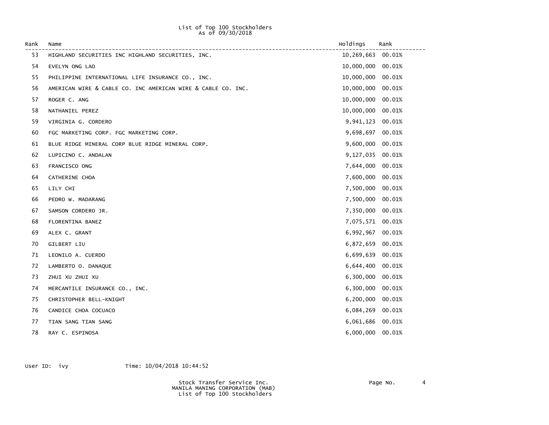### List of Top 100 Stockholders As of 09/30/2018

| Rank | Name                                                         | Holdings   | Rank   |
|------|--------------------------------------------------------------|------------|--------|
| 53   | HIGHLAND SECURITIES INC HIGHLAND SECURITIES, INC.            | 10,269,663 | 00.01% |
| 54   | EVELYN ONG LAO                                               | 10,000,000 | 00.01% |
| 55   | PHILIPPINE INTERNATIONAL LIFE INSURANCE CO., INC.            | 10,000,000 | 00.01% |
| 56   | AMERICAN WIRE & CABLE CO. INC AMERICAN WIRE & CABLE CO. INC. | 10,000,000 | 00.01% |
| 57   | ROGER C. ANG                                                 | 10,000,000 | 00.01% |
| 58   | NATHANIEL PEREZ                                              | 10,000,000 | 00.01% |
| 59   | VIRGINIA G. CORDERO                                          | 9,941,123  | 00.01% |
| 60   | FGC MARKETING CORP. FGC MARKETING CORP.                      | 9,698,697  | 00.01% |
| 61   | BLUE RIDGE MINERAL CORP BLUE RIDGE MINERAL CORP.             | 9,600,000  | 00.01% |
| 62   | LUPICINO C. ANDALAN                                          | 9,127,035  | 00.01% |
| 63   | FRANCISCO ONG                                                | 7,644,000  | 00.01% |
| 64   | CATHERINE CHOA                                               | 7,600,000  | 00.01% |
| 65   | LILY CHI                                                     | 7,500,000  | 00.01% |
| 66   | PEDRO W. MADARANG                                            | 7,500,000  | 00.01% |
| 67   | SAMSON CORDERO JR.                                           | 7,350,000  | 00.01% |
| 68   | FLORENTINA BANEZ                                             | 7,075,571  | 00.01% |
| 69   | ALEX C. GRANT                                                | 6,992,967  | 00.01% |
| 70   | GILBERT LIU                                                  | 6,872,659  | 00.01% |
| 71   | LEONILO A. CUERDO                                            | 6,699,639  | 00.01% |
| 72   | LAMBERTO O. DANAQUE                                          | 6,644,400  | 00.01% |
| 73   | ZHUI XU ZHUI XU                                              | 6,300,000  | 00.01% |
| 74   | MERCANTILE INSURANCE CO., INC.                               | 6,300,000  | 00.01% |
| 75   | CHRISTOPHER BELL-KNIGHT                                      | 6,200,000  | 00.01% |
| 76   | CANDICE CHOA COCUACO                                         | 6,084,269  | 00.01% |
| 77   | TIAN SANG TIAN SANG                                          | 6,061,686  | 00.01% |
| 78   | RAY C. ESPINOSA                                              | 6,000,000  | 00.01% |

User ID: ivy Time:  $10/04/2018$  10:44:52

 Stock Transfer Service Inc. Page No. 4 MANILA MANING CORPORATION (MAB) List of Top 100 Stockholders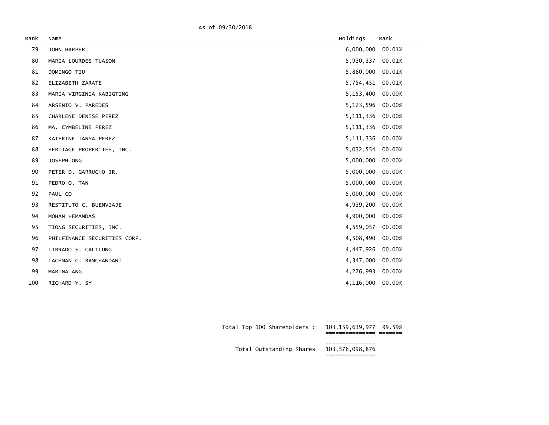As of 09/30/2018

| Rank | Name                         | Holdings         | Rank   |
|------|------------------------------|------------------|--------|
| 79   | JOHN HARPER                  | 6,000,000 00.01% |        |
| 80   | MARIA LOURDES TUASON         | 5,930,337        | 00.01% |
| 81   | DOMINGO TIU                  | 5,880,000        | 00.01% |
| 82   | ELIZABETH ZARATE             | 5,754,451        | 00.01% |
| 83   | MARIA VIRGINIA KABIGTING     | 5,153,400        | 00.00% |
| 84   | ARSENIO V. PAREDES           | 5,123,596        | 00.00% |
| 85   | CHARLENE DENISE PEREZ        | 5, 111, 336      | 00.00% |
| 86   | MA. CYMBELINE PEREZ          | 5, 111, 336      | 00.00% |
| 87   | KATERINE TANYA PEREZ         | 5, 111, 336      | 00.00% |
| 88   | HERITAGE PROPERTIES, INC.    | 5,032,554        | 00.00% |
| 89   | JOSEPH ONG                   | 5,000,000        | 00.00% |
| 90   | PETER D. GARRUCHO JR.        | 5,000,000        | 00.00% |
| 91   | PEDRO O. TAN                 | 5,000,000        | 00.00% |
| 92   | PAUL CO                      | 5,000,000        | 00.00% |
| 93   | RESTITUTO C. BUENVIAJE       | 4,939,200        | 00.00% |
| 94   | MOHAN HEMANDAS               | 4,900,000        | 00.00% |
| 95   | TIONG SECURITIES, INC.       | 4,559,057        | 00.00% |
| 96   | PHILFINANCE SECURITIES CORP. | 4,508,490        | 00.00% |
| 97   | LIBRADO S. CALILUNG          | 4,447,926        | 00.00% |
| 98   | LACHMAN C. RAMCHANDANI       | 4,347,000        | 00.00% |
| 99   | MARINA ANG                   | 4,276,993        | 00.00% |
| 100  | RICHARD Y. SY                | 4,116,000        | 00.00% |

| Total Top 100 Shareholders : 103,159,639,977 99.59% |  |
|-----------------------------------------------------|--|
| Total Outstanding Shares 103,576,098,876            |  |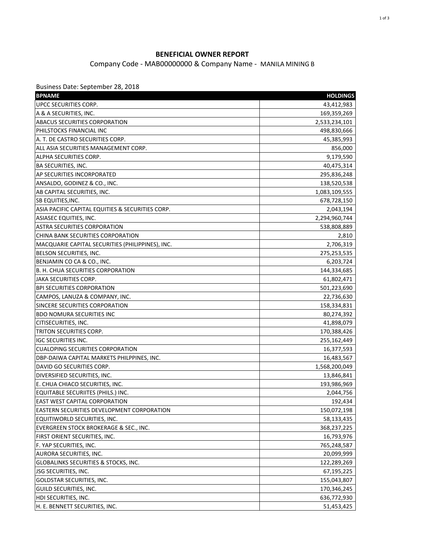### **BENEFICIAL OWNER REPORT**

### Company Code - MAB00000000 & Company Name - MANILA MINING B

Business Date: September 28, 2018

| UPCC SECURITIES CORP.<br>43,412,983<br>A & A SECURITIES, INC.<br>169,359,269<br><b>ABACUS SECURITIES CORPORATION</b><br>2,533,234,101<br>PHILSTOCKS FINANCIAL INC<br>498,830,666<br>A. T. DE CASTRO SECURITIES CORP.<br>45,385,993<br>ALL ASIA SECURITIES MANAGEMENT CORP.<br>856,000<br>9,179,590<br>ALPHA SECURITIES CORP.<br>40,475,314<br><b>BA SECURITIES, INC.</b><br>AP SECURITIES INCORPORATED<br>295,836,248<br>ANSALDO, GODINEZ & CO., INC.<br>138,520,538<br>AB CAPITAL SECURITIES, INC.<br>1,083,109,555<br>SB EQUITIES, INC.<br>678,728,150<br>ASIA PACIFIC CAPITAL EQUITIES & SECURITIES CORP.<br>2,043,194<br>ASIASEC EQUITIES, INC.<br>2,294,960,744<br><b>ASTRA SECURITIES CORPORATION</b><br>538,808,889<br>CHINA BANK SECURITIES CORPORATION<br>2,810<br>2,706,319<br>MACQUARIE CAPITAL SECURITIES (PHILIPPINES), INC.<br>BELSON SECURITIES, INC.<br>275,253,535<br>BENJAMIN CO CA & CO., INC.<br>6,203,724<br>B. H. CHUA SECURITIES CORPORATION<br>144,334,685<br><b>JAKA SECURITIES CORP.</b><br>61,802,471<br><b>BPI SECURITIES CORPORATION</b><br>501,223,690<br>CAMPOS, LANUZA & COMPANY, INC.<br>22,736,630<br>SINCERE SECURITIES CORPORATION<br>158,334,831<br><b>BDO NOMURA SECURITIES INC</b><br>80,274,392<br>CITISECURITIES, INC.<br>41,898,079<br>TRITON SECURITIES CORP.<br>170,388,426<br><b>IGC SECURITIES INC.</b><br>255,162,449<br><b>CUALOPING SECURITIES CORPORATION</b><br>16,377,593<br>DBP-DAIWA CAPITAL MARKETS PHILPPINES, INC.<br>16,483,567<br>DAVID GO SECURITIES CORP.<br>1,568,200,049<br>DIVERSIFIED SECURITIES, INC.<br>13,846,841<br>E. CHUA CHIACO SECURITIES, INC.<br>193,986,969<br>EQUITABLE SECURIITES (PHILS.) INC.<br>2,044,756<br><b>EAST WEST CAPITAL CORPORATION</b><br>192,434<br>EASTERN SECURITIES DEVELOPMENT CORPORATION<br>150,072,198<br>EQUITIWORLD SECURITIES, INC.<br>58,133,435<br>EVERGREEN STOCK BROKERAGE & SEC., INC.<br>368,237,225<br>FIRST ORIENT SECURITIES, INC.<br>16,793,976<br>F. YAP SECURITIES, INC.<br>765,248,587<br>AURORA SECURITIES, INC.<br>20,099,999<br>GLOBALINKS SECURITIES & STOCKS, INC.<br>122,289,269<br>JSG SECURITIES, INC.<br>67,195,225<br><b>GOLDSTAR SECURITIES, INC.</b><br>155,043,807<br>GUILD SECURITIES, INC.<br>170,346,245<br>HDI SECURITIES, INC.<br>636,772,930<br>H. E. BENNETT SECURITIES, INC.<br>51,453,425 | <b>BPNAME</b> | <b>HOLDINGS</b> |
|-------------------------------------------------------------------------------------------------------------------------------------------------------------------------------------------------------------------------------------------------------------------------------------------------------------------------------------------------------------------------------------------------------------------------------------------------------------------------------------------------------------------------------------------------------------------------------------------------------------------------------------------------------------------------------------------------------------------------------------------------------------------------------------------------------------------------------------------------------------------------------------------------------------------------------------------------------------------------------------------------------------------------------------------------------------------------------------------------------------------------------------------------------------------------------------------------------------------------------------------------------------------------------------------------------------------------------------------------------------------------------------------------------------------------------------------------------------------------------------------------------------------------------------------------------------------------------------------------------------------------------------------------------------------------------------------------------------------------------------------------------------------------------------------------------------------------------------------------------------------------------------------------------------------------------------------------------------------------------------------------------------------------------------------------------------------------------------------------------------------------------------------------------------------------------------------------------------------------------------------------------------------------------------------------------------------------------------|---------------|-----------------|
|                                                                                                                                                                                                                                                                                                                                                                                                                                                                                                                                                                                                                                                                                                                                                                                                                                                                                                                                                                                                                                                                                                                                                                                                                                                                                                                                                                                                                                                                                                                                                                                                                                                                                                                                                                                                                                                                                                                                                                                                                                                                                                                                                                                                                                                                                                                                     |               |                 |
|                                                                                                                                                                                                                                                                                                                                                                                                                                                                                                                                                                                                                                                                                                                                                                                                                                                                                                                                                                                                                                                                                                                                                                                                                                                                                                                                                                                                                                                                                                                                                                                                                                                                                                                                                                                                                                                                                                                                                                                                                                                                                                                                                                                                                                                                                                                                     |               |                 |
|                                                                                                                                                                                                                                                                                                                                                                                                                                                                                                                                                                                                                                                                                                                                                                                                                                                                                                                                                                                                                                                                                                                                                                                                                                                                                                                                                                                                                                                                                                                                                                                                                                                                                                                                                                                                                                                                                                                                                                                                                                                                                                                                                                                                                                                                                                                                     |               |                 |
|                                                                                                                                                                                                                                                                                                                                                                                                                                                                                                                                                                                                                                                                                                                                                                                                                                                                                                                                                                                                                                                                                                                                                                                                                                                                                                                                                                                                                                                                                                                                                                                                                                                                                                                                                                                                                                                                                                                                                                                                                                                                                                                                                                                                                                                                                                                                     |               |                 |
|                                                                                                                                                                                                                                                                                                                                                                                                                                                                                                                                                                                                                                                                                                                                                                                                                                                                                                                                                                                                                                                                                                                                                                                                                                                                                                                                                                                                                                                                                                                                                                                                                                                                                                                                                                                                                                                                                                                                                                                                                                                                                                                                                                                                                                                                                                                                     |               |                 |
|                                                                                                                                                                                                                                                                                                                                                                                                                                                                                                                                                                                                                                                                                                                                                                                                                                                                                                                                                                                                                                                                                                                                                                                                                                                                                                                                                                                                                                                                                                                                                                                                                                                                                                                                                                                                                                                                                                                                                                                                                                                                                                                                                                                                                                                                                                                                     |               |                 |
|                                                                                                                                                                                                                                                                                                                                                                                                                                                                                                                                                                                                                                                                                                                                                                                                                                                                                                                                                                                                                                                                                                                                                                                                                                                                                                                                                                                                                                                                                                                                                                                                                                                                                                                                                                                                                                                                                                                                                                                                                                                                                                                                                                                                                                                                                                                                     |               |                 |
|                                                                                                                                                                                                                                                                                                                                                                                                                                                                                                                                                                                                                                                                                                                                                                                                                                                                                                                                                                                                                                                                                                                                                                                                                                                                                                                                                                                                                                                                                                                                                                                                                                                                                                                                                                                                                                                                                                                                                                                                                                                                                                                                                                                                                                                                                                                                     |               |                 |
|                                                                                                                                                                                                                                                                                                                                                                                                                                                                                                                                                                                                                                                                                                                                                                                                                                                                                                                                                                                                                                                                                                                                                                                                                                                                                                                                                                                                                                                                                                                                                                                                                                                                                                                                                                                                                                                                                                                                                                                                                                                                                                                                                                                                                                                                                                                                     |               |                 |
|                                                                                                                                                                                                                                                                                                                                                                                                                                                                                                                                                                                                                                                                                                                                                                                                                                                                                                                                                                                                                                                                                                                                                                                                                                                                                                                                                                                                                                                                                                                                                                                                                                                                                                                                                                                                                                                                                                                                                                                                                                                                                                                                                                                                                                                                                                                                     |               |                 |
|                                                                                                                                                                                                                                                                                                                                                                                                                                                                                                                                                                                                                                                                                                                                                                                                                                                                                                                                                                                                                                                                                                                                                                                                                                                                                                                                                                                                                                                                                                                                                                                                                                                                                                                                                                                                                                                                                                                                                                                                                                                                                                                                                                                                                                                                                                                                     |               |                 |
|                                                                                                                                                                                                                                                                                                                                                                                                                                                                                                                                                                                                                                                                                                                                                                                                                                                                                                                                                                                                                                                                                                                                                                                                                                                                                                                                                                                                                                                                                                                                                                                                                                                                                                                                                                                                                                                                                                                                                                                                                                                                                                                                                                                                                                                                                                                                     |               |                 |
|                                                                                                                                                                                                                                                                                                                                                                                                                                                                                                                                                                                                                                                                                                                                                                                                                                                                                                                                                                                                                                                                                                                                                                                                                                                                                                                                                                                                                                                                                                                                                                                                                                                                                                                                                                                                                                                                                                                                                                                                                                                                                                                                                                                                                                                                                                                                     |               |                 |
|                                                                                                                                                                                                                                                                                                                                                                                                                                                                                                                                                                                                                                                                                                                                                                                                                                                                                                                                                                                                                                                                                                                                                                                                                                                                                                                                                                                                                                                                                                                                                                                                                                                                                                                                                                                                                                                                                                                                                                                                                                                                                                                                                                                                                                                                                                                                     |               |                 |
|                                                                                                                                                                                                                                                                                                                                                                                                                                                                                                                                                                                                                                                                                                                                                                                                                                                                                                                                                                                                                                                                                                                                                                                                                                                                                                                                                                                                                                                                                                                                                                                                                                                                                                                                                                                                                                                                                                                                                                                                                                                                                                                                                                                                                                                                                                                                     |               |                 |
|                                                                                                                                                                                                                                                                                                                                                                                                                                                                                                                                                                                                                                                                                                                                                                                                                                                                                                                                                                                                                                                                                                                                                                                                                                                                                                                                                                                                                                                                                                                                                                                                                                                                                                                                                                                                                                                                                                                                                                                                                                                                                                                                                                                                                                                                                                                                     |               |                 |
|                                                                                                                                                                                                                                                                                                                                                                                                                                                                                                                                                                                                                                                                                                                                                                                                                                                                                                                                                                                                                                                                                                                                                                                                                                                                                                                                                                                                                                                                                                                                                                                                                                                                                                                                                                                                                                                                                                                                                                                                                                                                                                                                                                                                                                                                                                                                     |               |                 |
|                                                                                                                                                                                                                                                                                                                                                                                                                                                                                                                                                                                                                                                                                                                                                                                                                                                                                                                                                                                                                                                                                                                                                                                                                                                                                                                                                                                                                                                                                                                                                                                                                                                                                                                                                                                                                                                                                                                                                                                                                                                                                                                                                                                                                                                                                                                                     |               |                 |
|                                                                                                                                                                                                                                                                                                                                                                                                                                                                                                                                                                                                                                                                                                                                                                                                                                                                                                                                                                                                                                                                                                                                                                                                                                                                                                                                                                                                                                                                                                                                                                                                                                                                                                                                                                                                                                                                                                                                                                                                                                                                                                                                                                                                                                                                                                                                     |               |                 |
|                                                                                                                                                                                                                                                                                                                                                                                                                                                                                                                                                                                                                                                                                                                                                                                                                                                                                                                                                                                                                                                                                                                                                                                                                                                                                                                                                                                                                                                                                                                                                                                                                                                                                                                                                                                                                                                                                                                                                                                                                                                                                                                                                                                                                                                                                                                                     |               |                 |
|                                                                                                                                                                                                                                                                                                                                                                                                                                                                                                                                                                                                                                                                                                                                                                                                                                                                                                                                                                                                                                                                                                                                                                                                                                                                                                                                                                                                                                                                                                                                                                                                                                                                                                                                                                                                                                                                                                                                                                                                                                                                                                                                                                                                                                                                                                                                     |               |                 |
|                                                                                                                                                                                                                                                                                                                                                                                                                                                                                                                                                                                                                                                                                                                                                                                                                                                                                                                                                                                                                                                                                                                                                                                                                                                                                                                                                                                                                                                                                                                                                                                                                                                                                                                                                                                                                                                                                                                                                                                                                                                                                                                                                                                                                                                                                                                                     |               |                 |
|                                                                                                                                                                                                                                                                                                                                                                                                                                                                                                                                                                                                                                                                                                                                                                                                                                                                                                                                                                                                                                                                                                                                                                                                                                                                                                                                                                                                                                                                                                                                                                                                                                                                                                                                                                                                                                                                                                                                                                                                                                                                                                                                                                                                                                                                                                                                     |               |                 |
|                                                                                                                                                                                                                                                                                                                                                                                                                                                                                                                                                                                                                                                                                                                                                                                                                                                                                                                                                                                                                                                                                                                                                                                                                                                                                                                                                                                                                                                                                                                                                                                                                                                                                                                                                                                                                                                                                                                                                                                                                                                                                                                                                                                                                                                                                                                                     |               |                 |
|                                                                                                                                                                                                                                                                                                                                                                                                                                                                                                                                                                                                                                                                                                                                                                                                                                                                                                                                                                                                                                                                                                                                                                                                                                                                                                                                                                                                                                                                                                                                                                                                                                                                                                                                                                                                                                                                                                                                                                                                                                                                                                                                                                                                                                                                                                                                     |               |                 |
|                                                                                                                                                                                                                                                                                                                                                                                                                                                                                                                                                                                                                                                                                                                                                                                                                                                                                                                                                                                                                                                                                                                                                                                                                                                                                                                                                                                                                                                                                                                                                                                                                                                                                                                                                                                                                                                                                                                                                                                                                                                                                                                                                                                                                                                                                                                                     |               |                 |
|                                                                                                                                                                                                                                                                                                                                                                                                                                                                                                                                                                                                                                                                                                                                                                                                                                                                                                                                                                                                                                                                                                                                                                                                                                                                                                                                                                                                                                                                                                                                                                                                                                                                                                                                                                                                                                                                                                                                                                                                                                                                                                                                                                                                                                                                                                                                     |               |                 |
|                                                                                                                                                                                                                                                                                                                                                                                                                                                                                                                                                                                                                                                                                                                                                                                                                                                                                                                                                                                                                                                                                                                                                                                                                                                                                                                                                                                                                                                                                                                                                                                                                                                                                                                                                                                                                                                                                                                                                                                                                                                                                                                                                                                                                                                                                                                                     |               |                 |
|                                                                                                                                                                                                                                                                                                                                                                                                                                                                                                                                                                                                                                                                                                                                                                                                                                                                                                                                                                                                                                                                                                                                                                                                                                                                                                                                                                                                                                                                                                                                                                                                                                                                                                                                                                                                                                                                                                                                                                                                                                                                                                                                                                                                                                                                                                                                     |               |                 |
|                                                                                                                                                                                                                                                                                                                                                                                                                                                                                                                                                                                                                                                                                                                                                                                                                                                                                                                                                                                                                                                                                                                                                                                                                                                                                                                                                                                                                                                                                                                                                                                                                                                                                                                                                                                                                                                                                                                                                                                                                                                                                                                                                                                                                                                                                                                                     |               |                 |
|                                                                                                                                                                                                                                                                                                                                                                                                                                                                                                                                                                                                                                                                                                                                                                                                                                                                                                                                                                                                                                                                                                                                                                                                                                                                                                                                                                                                                                                                                                                                                                                                                                                                                                                                                                                                                                                                                                                                                                                                                                                                                                                                                                                                                                                                                                                                     |               |                 |
|                                                                                                                                                                                                                                                                                                                                                                                                                                                                                                                                                                                                                                                                                                                                                                                                                                                                                                                                                                                                                                                                                                                                                                                                                                                                                                                                                                                                                                                                                                                                                                                                                                                                                                                                                                                                                                                                                                                                                                                                                                                                                                                                                                                                                                                                                                                                     |               |                 |
|                                                                                                                                                                                                                                                                                                                                                                                                                                                                                                                                                                                                                                                                                                                                                                                                                                                                                                                                                                                                                                                                                                                                                                                                                                                                                                                                                                                                                                                                                                                                                                                                                                                                                                                                                                                                                                                                                                                                                                                                                                                                                                                                                                                                                                                                                                                                     |               |                 |
|                                                                                                                                                                                                                                                                                                                                                                                                                                                                                                                                                                                                                                                                                                                                                                                                                                                                                                                                                                                                                                                                                                                                                                                                                                                                                                                                                                                                                                                                                                                                                                                                                                                                                                                                                                                                                                                                                                                                                                                                                                                                                                                                                                                                                                                                                                                                     |               |                 |
|                                                                                                                                                                                                                                                                                                                                                                                                                                                                                                                                                                                                                                                                                                                                                                                                                                                                                                                                                                                                                                                                                                                                                                                                                                                                                                                                                                                                                                                                                                                                                                                                                                                                                                                                                                                                                                                                                                                                                                                                                                                                                                                                                                                                                                                                                                                                     |               |                 |
|                                                                                                                                                                                                                                                                                                                                                                                                                                                                                                                                                                                                                                                                                                                                                                                                                                                                                                                                                                                                                                                                                                                                                                                                                                                                                                                                                                                                                                                                                                                                                                                                                                                                                                                                                                                                                                                                                                                                                                                                                                                                                                                                                                                                                                                                                                                                     |               |                 |
|                                                                                                                                                                                                                                                                                                                                                                                                                                                                                                                                                                                                                                                                                                                                                                                                                                                                                                                                                                                                                                                                                                                                                                                                                                                                                                                                                                                                                                                                                                                                                                                                                                                                                                                                                                                                                                                                                                                                                                                                                                                                                                                                                                                                                                                                                                                                     |               |                 |
|                                                                                                                                                                                                                                                                                                                                                                                                                                                                                                                                                                                                                                                                                                                                                                                                                                                                                                                                                                                                                                                                                                                                                                                                                                                                                                                                                                                                                                                                                                                                                                                                                                                                                                                                                                                                                                                                                                                                                                                                                                                                                                                                                                                                                                                                                                                                     |               |                 |
|                                                                                                                                                                                                                                                                                                                                                                                                                                                                                                                                                                                                                                                                                                                                                                                                                                                                                                                                                                                                                                                                                                                                                                                                                                                                                                                                                                                                                                                                                                                                                                                                                                                                                                                                                                                                                                                                                                                                                                                                                                                                                                                                                                                                                                                                                                                                     |               |                 |
|                                                                                                                                                                                                                                                                                                                                                                                                                                                                                                                                                                                                                                                                                                                                                                                                                                                                                                                                                                                                                                                                                                                                                                                                                                                                                                                                                                                                                                                                                                                                                                                                                                                                                                                                                                                                                                                                                                                                                                                                                                                                                                                                                                                                                                                                                                                                     |               |                 |
|                                                                                                                                                                                                                                                                                                                                                                                                                                                                                                                                                                                                                                                                                                                                                                                                                                                                                                                                                                                                                                                                                                                                                                                                                                                                                                                                                                                                                                                                                                                                                                                                                                                                                                                                                                                                                                                                                                                                                                                                                                                                                                                                                                                                                                                                                                                                     |               |                 |
|                                                                                                                                                                                                                                                                                                                                                                                                                                                                                                                                                                                                                                                                                                                                                                                                                                                                                                                                                                                                                                                                                                                                                                                                                                                                                                                                                                                                                                                                                                                                                                                                                                                                                                                                                                                                                                                                                                                                                                                                                                                                                                                                                                                                                                                                                                                                     |               |                 |
|                                                                                                                                                                                                                                                                                                                                                                                                                                                                                                                                                                                                                                                                                                                                                                                                                                                                                                                                                                                                                                                                                                                                                                                                                                                                                                                                                                                                                                                                                                                                                                                                                                                                                                                                                                                                                                                                                                                                                                                                                                                                                                                                                                                                                                                                                                                                     |               |                 |
|                                                                                                                                                                                                                                                                                                                                                                                                                                                                                                                                                                                                                                                                                                                                                                                                                                                                                                                                                                                                                                                                                                                                                                                                                                                                                                                                                                                                                                                                                                                                                                                                                                                                                                                                                                                                                                                                                                                                                                                                                                                                                                                                                                                                                                                                                                                                     |               |                 |
|                                                                                                                                                                                                                                                                                                                                                                                                                                                                                                                                                                                                                                                                                                                                                                                                                                                                                                                                                                                                                                                                                                                                                                                                                                                                                                                                                                                                                                                                                                                                                                                                                                                                                                                                                                                                                                                                                                                                                                                                                                                                                                                                                                                                                                                                                                                                     |               |                 |
|                                                                                                                                                                                                                                                                                                                                                                                                                                                                                                                                                                                                                                                                                                                                                                                                                                                                                                                                                                                                                                                                                                                                                                                                                                                                                                                                                                                                                                                                                                                                                                                                                                                                                                                                                                                                                                                                                                                                                                                                                                                                                                                                                                                                                                                                                                                                     |               |                 |
|                                                                                                                                                                                                                                                                                                                                                                                                                                                                                                                                                                                                                                                                                                                                                                                                                                                                                                                                                                                                                                                                                                                                                                                                                                                                                                                                                                                                                                                                                                                                                                                                                                                                                                                                                                                                                                                                                                                                                                                                                                                                                                                                                                                                                                                                                                                                     |               |                 |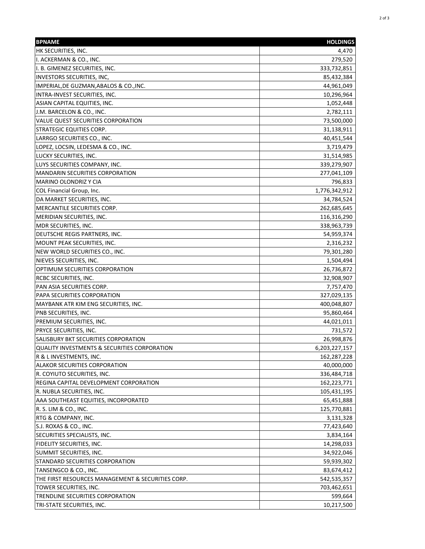| <b>BPNAME</b>                                     | <b>HOLDINGS</b> |
|---------------------------------------------------|-----------------|
| HK SECURITIES, INC.                               | 4,470           |
| I. ACKERMAN & CO., INC.                           | 279,520         |
| II. B. GIMENEZ SECURITIES, INC.                   | 333,732,851     |
| <b>INVESTORS SECURITIES, INC,</b>                 | 85,432,384      |
| IMPERIAL, DE GUZMAN, ABALOS & CO., INC.           | 44,961,049      |
| INTRA-INVEST SECURITIES, INC.                     | 10,296,964      |
| ASIAN CAPITAL EQUITIES, INC.                      | 1,052,448       |
| J.M. BARCELON & CO., INC.                         | 2,782,111       |
| VALUE QUEST SECURITIES CORPORATION                | 73,500,000      |
| <b>STRATEGIC EQUITIES CORP.</b>                   | 31,138,911      |
| LARRGO SECURITIES CO., INC.                       | 40,451,544      |
| LOPEZ, LOCSIN, LEDESMA & CO., INC.                | 3,719,479       |
| LUCKY SECURITIES, INC.                            | 31,514,985      |
| LUYS SECURITIES COMPANY, INC.                     | 339,279,907     |
| <b>MANDARIN SECURITIES CORPORATION</b>            | 277,041,109     |
| MARINO OLONDRIZ Y CIA                             | 796,833         |
| COL Financial Group, Inc.                         | 1,776,342,912   |
| DA MARKET SECURITIES, INC.                        | 34,784,524      |
| MERCANTILE SECURITIES CORP.                       | 262,685,645     |
| MERIDIAN SECURITIES, INC.                         | 116,316,290     |
| MDR SECURITIES, INC.                              | 338,963,739     |
| DEUTSCHE REGIS PARTNERS, INC.                     | 54,959,374      |
| MOUNT PEAK SECURITIES, INC.                       | 2,316,232       |
| NEW WORLD SECURITIES CO., INC.                    | 79,301,280      |
| NIEVES SECURITIES, INC.                           | 1,504,494       |
| OPTIMUM SECURITIES CORPORATION                    | 26,736,872      |
| <b>RCBC SECURITIES, INC.</b>                      | 32,908,907      |
| PAN ASIA SECURITIES CORP.                         | 7,757,470       |
| PAPA SECURITIES CORPORATION                       | 327,029,135     |
| MAYBANK ATR KIM ENG SECURITIES, INC.              | 400,048,807     |
| PNB SECURITIES, INC.                              | 95,860,464      |
| PREMIUM SECURITIES, INC.                          | 44,021,011      |
| <b>PRYCE SECURITIES, INC.</b>                     | 731,572         |
| SALISBURY BKT SECURITIES CORPORATION              | 26,998,876      |
| QUALITY INVESTMENTS & SECURITIES CORPORATION      | 6,203,227,157   |
| R & L INVESTMENTS, INC.                           | 162,287,228     |
| ALAKOR SECURITIES CORPORATION                     | 40,000,000      |
| R. COYIUTO SECURITIES, INC.                       | 336,484,718     |
| REGINA CAPITAL DEVELOPMENT CORPORATION            | 162,223,771     |
| R. NUBLA SECURITIES, INC.                         | 105,431,195     |
| AAA SOUTHEAST EQUITIES, INCORPORATED              | 65,451,888      |
| R. S. LIM & CO., INC.                             | 125,770,881     |
| RTG & COMPANY, INC.                               | 3,131,328       |
| S.J. ROXAS & CO., INC.                            | 77,423,640      |
| SECURITIES SPECIALISTS, INC.                      | 3,834,164       |
| FIDELITY SECURITIES, INC.                         | 14,298,033      |
| SUMMIT SECURITIES, INC.                           | 34,922,046      |
| STANDARD SECURITIES CORPORATION                   | 59,939,302      |
| TANSENGCO & CO., INC.                             | 83,674,412      |
| THE FIRST RESOURCES MANAGEMENT & SECURITIES CORP. | 542,535,357     |
| TOWER SECURITIES, INC.                            | 703,462,651     |
| TRENDLINE SECURITIES CORPORATION                  | 599,664         |
| TRI-STATE SECURITIES, INC.                        | 10,217,500      |